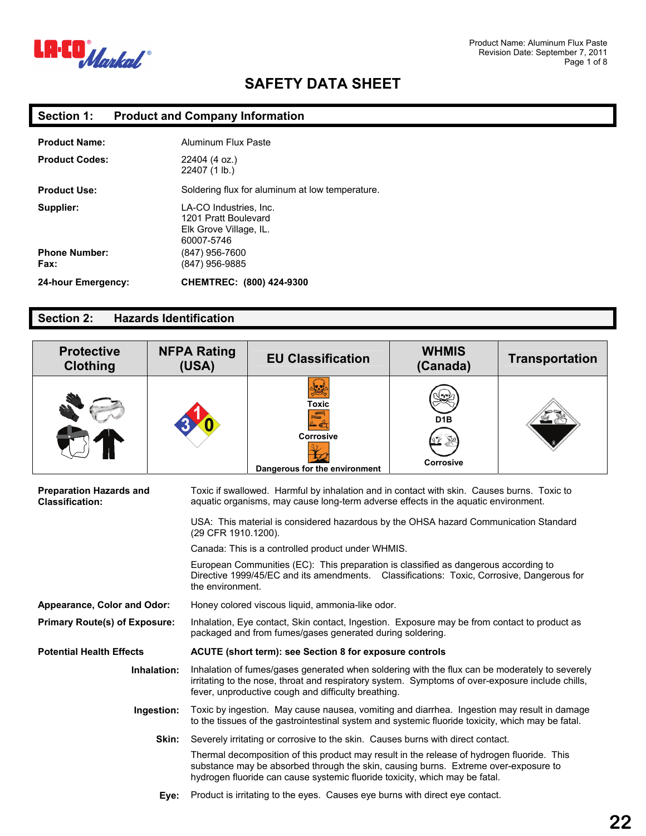

### **Section 1: Product and Company Information**

| <b>Product Name:</b>         | <b>Aluminum Flux Paste</b>                                                             |
|------------------------------|----------------------------------------------------------------------------------------|
| <b>Product Codes:</b>        | 22404 (4 oz.)<br>22407 (1 lb.)                                                         |
| <b>Product Use:</b>          | Soldering flux for aluminum at low temperature.                                        |
| Supplier:                    | LA-CO Industries, Inc.<br>1201 Pratt Boulevard<br>Elk Grove Village, IL.<br>60007-5746 |
| <b>Phone Number:</b><br>Fax: | (847) 956-7600<br>(847) 956-9885                                                       |
| 24-hour Emergency:           | CHEMTREC: (800) 424-9300                                                               |

#### **Section 2: Hazards Identification**

| <b>Protective</b><br><b>Clothing</b>                                                                                                                                                              | <b>NFPA Rating</b><br>(USA) | <b>EU Classification</b>                                                                                                                                                                                                                                         | <b>WHMIS</b><br>(Canada) | <b>Transportation</b> |
|---------------------------------------------------------------------------------------------------------------------------------------------------------------------------------------------------|-----------------------------|------------------------------------------------------------------------------------------------------------------------------------------------------------------------------------------------------------------------------------------------------------------|--------------------------|-----------------------|
|                                                                                                                                                                                                   |                             | او با<br>کھیلا<br>Toxic<br>Corrosive<br>Dangerous for the environment                                                                                                                                                                                            | <b>Corrosive</b>         |                       |
| <b>Preparation Hazards and</b><br><b>Classification:</b>                                                                                                                                          |                             | Toxic if swallowed. Harmful by inhalation and in contact with skin. Causes burns. Toxic to<br>aquatic organisms, may cause long-term adverse effects in the aquatic environment.                                                                                 |                          |                       |
|                                                                                                                                                                                                   | (29 CFR 1910.1200).         | USA: This material is considered hazardous by the OHSA hazard Communication Standard                                                                                                                                                                             |                          |                       |
|                                                                                                                                                                                                   |                             | Canada: This is a controlled product under WHMIS.                                                                                                                                                                                                                |                          |                       |
|                                                                                                                                                                                                   |                             | European Communities (EC): This preparation is classified as dangerous according to<br>Directive 1999/45/EC and its amendments.  Classifications: Toxic, Corrosive, Dangerous for<br>the environment.                                                            |                          |                       |
| Honey colored viscous liquid, ammonia-like odor.<br>Appearance, Color and Odor:                                                                                                                   |                             |                                                                                                                                                                                                                                                                  |                          |                       |
| Inhalation, Eye contact, Skin contact, Ingestion. Exposure may be from contact to product as<br><b>Primary Route(s) of Exposure:</b><br>packaged and from fumes/gases generated during soldering. |                             |                                                                                                                                                                                                                                                                  |                          |                       |
| <b>Potential Health Effects</b>                                                                                                                                                                   |                             | ACUTE (short term): see Section 8 for exposure controls                                                                                                                                                                                                          |                          |                       |
|                                                                                                                                                                                                   | Inhalation:                 | Inhalation of fumes/gases generated when soldering with the flux can be moderately to severely<br>irritating to the nose, throat and respiratory system. Symptoms of over-exposure include chills,<br>fever, unproductive cough and difficulty breathing.        |                          |                       |
|                                                                                                                                                                                                   | Ingestion:                  | Toxic by ingestion. May cause nausea, vomiting and diarrhea. Ingestion may result in damage<br>to the tissues of the gastrointestinal system and systemic fluoride toxicity, which may be fatal.                                                                 |                          |                       |
|                                                                                                                                                                                                   | Skin:                       | Severely irritating or corrosive to the skin. Causes burns with direct contact.                                                                                                                                                                                  |                          |                       |
|                                                                                                                                                                                                   |                             | Thermal decomposition of this product may result in the release of hydrogen fluoride. This<br>substance may be absorbed through the skin, causing burns. Extreme over-exposure to<br>hydrogen fluoride can cause systemic fluoride toxicity, which may be fatal. |                          |                       |
|                                                                                                                                                                                                   | Eye:                        | Product is irritating to the eyes. Causes eye burns with direct eye contact.                                                                                                                                                                                     |                          |                       |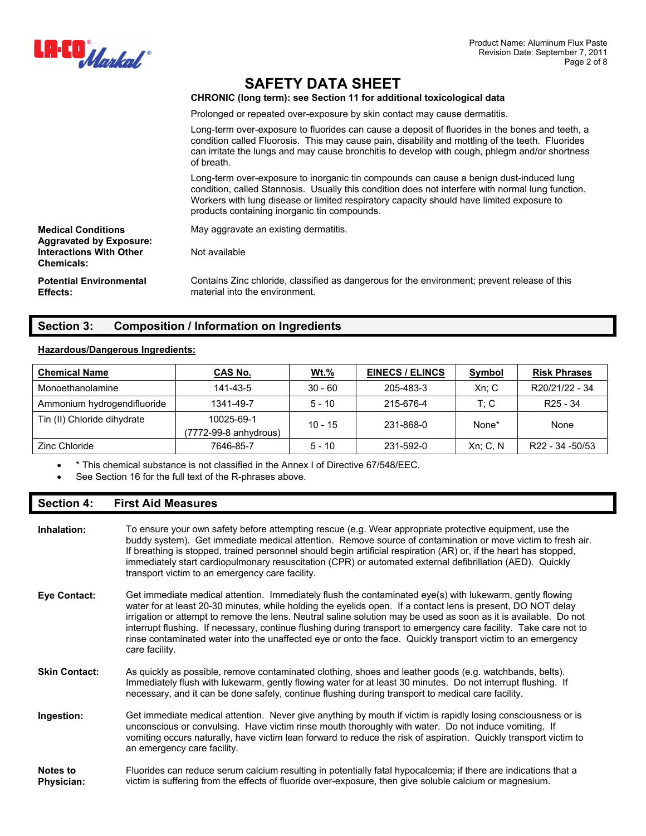

**CHRONIC (long term): see Section 11 for additional toxicological data** 

Prolonged or repeated over-exposure by skin contact may cause dermatitis.

Long-term over-exposure to fluorides can cause a deposit of fluorides in the bones and teeth, a condition called Fluorosis. This may cause pain, disability and mottling of the teeth. Fluorides can irritate the lungs and may cause bronchitis to develop with cough, phlegm and/or shortness of breath.

Long-term over-exposure to inorganic tin compounds can cause a benign dust-induced lung condition, called Stannosis. Usually this condition does not interfere with normal lung function. Workers with lung disease or limited respiratory capacity should have limited exposure to products containing inorganic tin compounds.

| <b>Medical Conditions</b><br><b>Aggravated by Exposure:</b> | May aggravate an existing dermatitis.                                                                                          |
|-------------------------------------------------------------|--------------------------------------------------------------------------------------------------------------------------------|
| <b>Interactions With Other</b><br><b>Chemicals:</b>         | Not available                                                                                                                  |
| <b>Potential Environmental</b><br><b>Effects:</b>           | Contains Zinc chloride, classified as dangerous for the environment; prevent release of this<br>material into the environment. |

#### **Section 3: Composition / Information on Ingredients**

#### **Hazardous/Dangerous Ingredients:**

| <b>Chemical Name</b>        | CAS No.                             | $Wt.\%$   | <b>EINECS / ELINCS</b> | Symbol      | <b>Risk Phrases</b>  |
|-----------------------------|-------------------------------------|-----------|------------------------|-------------|----------------------|
| Monoethanolamine            | 141-43-5                            | $30 - 60$ | 205-483-3              | Xn; C       | R20/21/22 - 34       |
| Ammonium hydrogendifluoride | 1341-49-7                           | $5 - 10$  | 215-676-4              | T: C        | R <sub>25</sub> - 34 |
| Tin (II) Chloride dihydrate | 10025-69-1<br>(7772-99-8 anhydrous) | $10 - 15$ | 231-868-0              | None*       | None                 |
| Zinc Chloride               | 7646-85-7                           | $5 - 10$  | 231-592-0              | $Xn$ ; C, N | R22 - 34 - 50/53     |

\* This chemical substance is not classified in the Annex I of Directive 67/548/EEC.

See Section 16 for the full text of the R-phrases above.

#### **Section 4: First Aid Measures**

| Inhalation:                          | To ensure your own safety before attempting rescue (e.g. Wear appropriate protective equipment, use the<br>buddy system). Get immediate medical attention. Remove source of contamination or move victim to fresh air.<br>If breathing is stopped, trained personnel should begin artificial respiration (AR) or, if the heart has stopped,<br>immediately start cardiopulmonary resuscitation (CPR) or automated external defibrillation (AED). Quickly<br>transport victim to an emergency care facility.                                                                                        |
|--------------------------------------|----------------------------------------------------------------------------------------------------------------------------------------------------------------------------------------------------------------------------------------------------------------------------------------------------------------------------------------------------------------------------------------------------------------------------------------------------------------------------------------------------------------------------------------------------------------------------------------------------|
| Eye Contact:                         | Get immediate medical attention. Immediately flush the contaminated eye(s) with lukewarm, gently flowing<br>water for at least 20-30 minutes, while holding the eyelids open. If a contact lens is present, DO NOT delay<br>irrigation or attempt to remove the lens. Neutral saline solution may be used as soon as it is available. Do not<br>interrupt flushing. If necessary, continue flushing during transport to emergency care facility. Take care not to<br>rinse contaminated water into the unaffected eye or onto the face. Quickly transport victim to an emergency<br>care facility. |
| <b>Skin Contact:</b>                 | As quickly as possible, remove contaminated clothing, shoes and leather goods (e.g. watchbands, belts).<br>Immediately flush with lukewarm, gently flowing water for at least 30 minutes. Do not interrupt flushing. If<br>necessary, and it can be done safely, continue flushing during transport to medical care facility.                                                                                                                                                                                                                                                                      |
| Ingestion:                           | Get immediate medical attention. Never give anything by mouth if victim is rapidly losing consciousness or is<br>unconscious or convulsing. Have victim rinse mouth thoroughly with water. Do not induce vomiting. If<br>vomiting occurs naturally, have victim lean forward to reduce the risk of aspiration. Quickly transport victim to<br>an emergency care facility.                                                                                                                                                                                                                          |
| <b>Notes to</b><br><b>Physician:</b> | Fluorides can reduce serum calcium resulting in potentially fatal hypocalcemia; if there are indications that a<br>victim is suffering from the effects of fluoride over-exposure, then give soluble calcium or magnesium.                                                                                                                                                                                                                                                                                                                                                                         |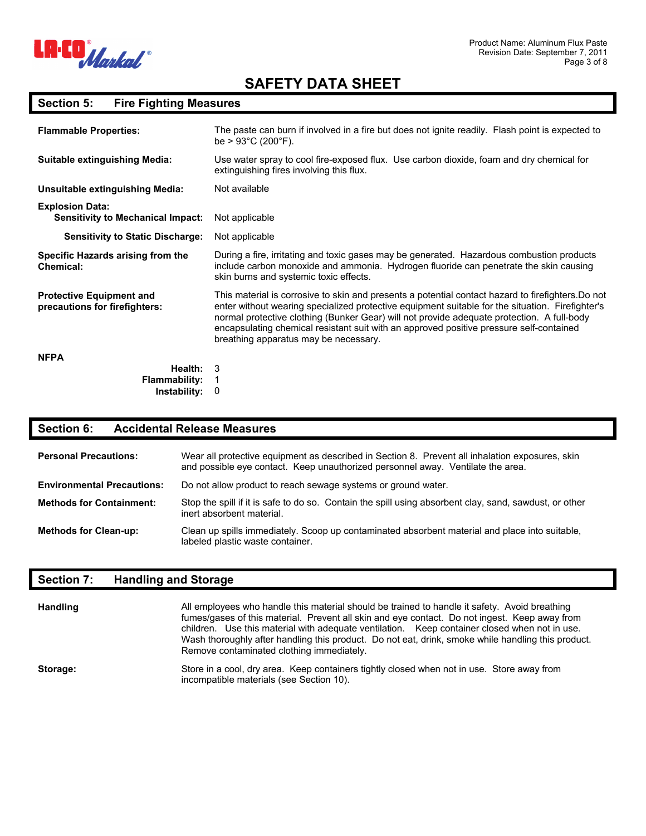

## **Section 5: Fire Fighting Measures**

| <b>Flammable Properties:</b>                                       | The paste can burn if involved in a fire but does not ignite readily. Flash point is expected to<br>be $> 93^{\circ}$ C (200 $^{\circ}$ F).                                                                                                                                                                                                                                                                                              |
|--------------------------------------------------------------------|------------------------------------------------------------------------------------------------------------------------------------------------------------------------------------------------------------------------------------------------------------------------------------------------------------------------------------------------------------------------------------------------------------------------------------------|
| <b>Suitable extinguishing Media:</b>                               | Use water spray to cool fire-exposed flux. Use carbon dioxide, foam and dry chemical for<br>extinguishing fires involving this flux.                                                                                                                                                                                                                                                                                                     |
| Unsuitable extinguishing Media:                                    | Not available                                                                                                                                                                                                                                                                                                                                                                                                                            |
| <b>Explosion Data:</b><br><b>Sensitivity to Mechanical Impact:</b> | Not applicable                                                                                                                                                                                                                                                                                                                                                                                                                           |
| <b>Sensitivity to Static Discharge:</b>                            | Not applicable                                                                                                                                                                                                                                                                                                                                                                                                                           |
| Specific Hazards arising from the<br><b>Chemical:</b>              | During a fire, irritating and toxic gases may be generated. Hazardous combustion products<br>include carbon monoxide and ammonia. Hydrogen fluoride can penetrate the skin causing<br>skin burns and systemic toxic effects.                                                                                                                                                                                                             |
| <b>Protective Equipment and</b><br>precautions for firefighters:   | This material is corrosive to skin and presents a potential contact hazard to firefighters. Do not<br>enter without wearing specialized protective equipment suitable for the situation. Firefighter's<br>normal protective clothing (Bunker Gear) will not provide adequate protection. A full-body<br>encapsulating chemical resistant suit with an approved positive pressure self-contained<br>breathing apparatus may be necessary. |
| <b>NFPA</b>                                                        |                                                                                                                                                                                                                                                                                                                                                                                                                                          |
| Health:<br><b>Flammability:</b><br>Instability:                    | 3<br>0                                                                                                                                                                                                                                                                                                                                                                                                                                   |

### **Section 6: Accidental Release Measures**

| <b>Personal Precautions:</b>      | Wear all protective equipment as described in Section 8. Prevent all inhalation exposures, skin<br>and possible eye contact. Keep unauthorized personnel away. Ventilate the area. |
|-----------------------------------|------------------------------------------------------------------------------------------------------------------------------------------------------------------------------------|
| <b>Environmental Precautions:</b> | Do not allow product to reach sewage systems or ground water.                                                                                                                      |
| <b>Methods for Containment:</b>   | Stop the spill if it is safe to do so. Contain the spill using absorbent clay, sand, sawdust, or other<br>inert absorbent material.                                                |
| <b>Methods for Clean-up:</b>      | Clean up spills immediately. Scoop up contaminated absorbent material and place into suitable,<br>labeled plastic waste container.                                                 |

## **Section 7: Handling and Storage**

| <b>Handling</b> | All employees who handle this material should be trained to handle it safety. Avoid breathing<br>fumes/gases of this material. Prevent all skin and eye contact. Do not ingest. Keep away from<br>children. Use this material with adequate ventilation. Keep container closed when not in use.<br>Wash thoroughly after handling this product. Do not eat, drink, smoke while handling this product.<br>Remove contaminated clothing immediately. |
|-----------------|----------------------------------------------------------------------------------------------------------------------------------------------------------------------------------------------------------------------------------------------------------------------------------------------------------------------------------------------------------------------------------------------------------------------------------------------------|
| Storage:        | Store in a cool, dry area. Keep containers tightly closed when not in use. Store away from<br>incompatible materials (see Section 10).                                                                                                                                                                                                                                                                                                             |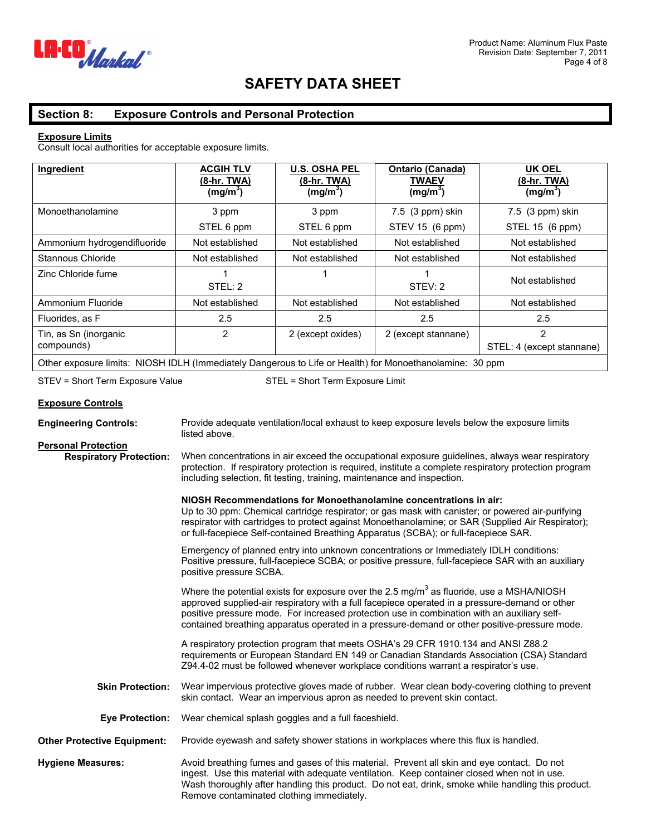

### **Section 8: Exposure Controls and Personal Protection**

#### **Exposure Limits**

Consult local authorities for acceptable exposure limits.

| Ingredient                                                                                               | <b>ACGIH TLV</b><br>(8-hr. TWA)<br>(mg/m <sup>3</sup> ) | <b>U.S. OSHA PEL</b><br><u>(8-hr. TWA)</u><br>(mg/m <sup>3</sup> ) | <b>Ontario (Canada)</b><br><b>TWAEV</b><br>(mg/m <sup>3</sup> ) | <b>UK OEL</b><br><u>(8-hr. TWA)</u><br>(mg/m <sup>3</sup> ) |
|----------------------------------------------------------------------------------------------------------|---------------------------------------------------------|--------------------------------------------------------------------|-----------------------------------------------------------------|-------------------------------------------------------------|
| Monoethanolamine                                                                                         | 3 ppm                                                   | 3 ppm                                                              | 7.5 (3 ppm) skin                                                | 7.5 (3 ppm) skin                                            |
|                                                                                                          | STEL 6 ppm                                              | STEL 6 ppm                                                         | STEV 15 (6 ppm)                                                 | STEL 15 (6 ppm)                                             |
| Ammonium hydrogendifluoride                                                                              | Not established                                         | Not established                                                    | Not established                                                 | Not established                                             |
| Stannous Chloride                                                                                        | Not established                                         | Not established                                                    | Not established                                                 | Not established                                             |
| Zinc Chloride fume                                                                                       | STEL: 2                                                 |                                                                    | STEV: 2                                                         | Not established                                             |
| Ammonium Fluoride                                                                                        | Not established                                         | Not established                                                    | Not established                                                 | Not established                                             |
| Fluorides, as F                                                                                          | 2.5                                                     | 2.5                                                                | 2.5                                                             | 2.5                                                         |
| Tin, as Sn (inorganic<br>compounds)                                                                      | 2                                                       | 2 (except oxides)                                                  | 2 (except stannane)                                             | $\overline{2}$<br>STEL: 4 (except stannane)                 |
| Other exposure limits: NIOSH IDLH (Immediately Dangerous to Life or Health) for Monoethanolamine: 30 ppm |                                                         |                                                                    |                                                                 |                                                             |

STEV = Short Term Exposure Value STEL = Short Term Exposure Limit

#### **Exposure Controls**

| <b>Engineering Controls:</b>       | Provide adequate ventilation/local exhaust to keep exposure levels below the exposure limits<br>listed above.                                                                                                                                                                                                                                                                                         |
|------------------------------------|-------------------------------------------------------------------------------------------------------------------------------------------------------------------------------------------------------------------------------------------------------------------------------------------------------------------------------------------------------------------------------------------------------|
| <b>Personal Protection</b>         |                                                                                                                                                                                                                                                                                                                                                                                                       |
| <b>Respiratory Protection:</b>     | When concentrations in air exceed the occupational exposure guidelines, always wear respiratory<br>protection. If respiratory protection is required, institute a complete respiratory protection program<br>including selection, fit testing, training, maintenance and inspection.                                                                                                                  |
|                                    | NIOSH Recommendations for Monoethanolamine concentrations in air:<br>Up to 30 ppm: Chemical cartridge respirator; or gas mask with canister; or powered air-purifying<br>respirator with cartridges to protect against Monoethanolamine; or SAR (Supplied Air Respirator);<br>or full-facepiece Self-contained Breathing Apparatus (SCBA); or full-facepiece SAR.                                     |
|                                    | Emergency of planned entry into unknown concentrations or Immediately IDLH conditions:<br>Positive pressure, full-facepiece SCBA; or positive pressure, full-facepiece SAR with an auxiliary<br>positive pressure SCBA.                                                                                                                                                                               |
|                                    | Where the potential exists for exposure over the 2.5 mg/m <sup>3</sup> as fluoride, use a MSHA/NIOSH<br>approved supplied-air respiratory with a full facepiece operated in a pressure-demand or other<br>positive pressure mode. For increased protection use in combination with an auxiliary self-<br>contained breathing apparatus operated in a pressure-demand or other positive-pressure mode. |
|                                    | A respiratory protection program that meets OSHA's 29 CFR 1910.134 and ANSI Z88.2<br>requirements or European Standard EN 149 or Canadian Standards Association (CSA) Standard<br>Z94.4-02 must be followed whenever workplace conditions warrant a respirator's use.                                                                                                                                 |
| <b>Skin Protection:</b>            | Wear impervious protective gloves made of rubber. Wear clean body-covering clothing to prevent<br>skin contact. Wear an impervious apron as needed to prevent skin contact.                                                                                                                                                                                                                           |
| <b>Eye Protection:</b>             | Wear chemical splash goggles and a full faceshield.                                                                                                                                                                                                                                                                                                                                                   |
| <b>Other Protective Equipment:</b> | Provide eyewash and safety shower stations in workplaces where this flux is handled.                                                                                                                                                                                                                                                                                                                  |
| <b>Hygiene Measures:</b>           | Avoid breathing fumes and gases of this material. Prevent all skin and eye contact. Do not<br>ingest. Use this material with adequate ventilation. Keep container closed when not in use.<br>Wash thoroughly after handling this product. Do not eat, drink, smoke while handling this product.<br>Remove contaminated clothing immediately.                                                          |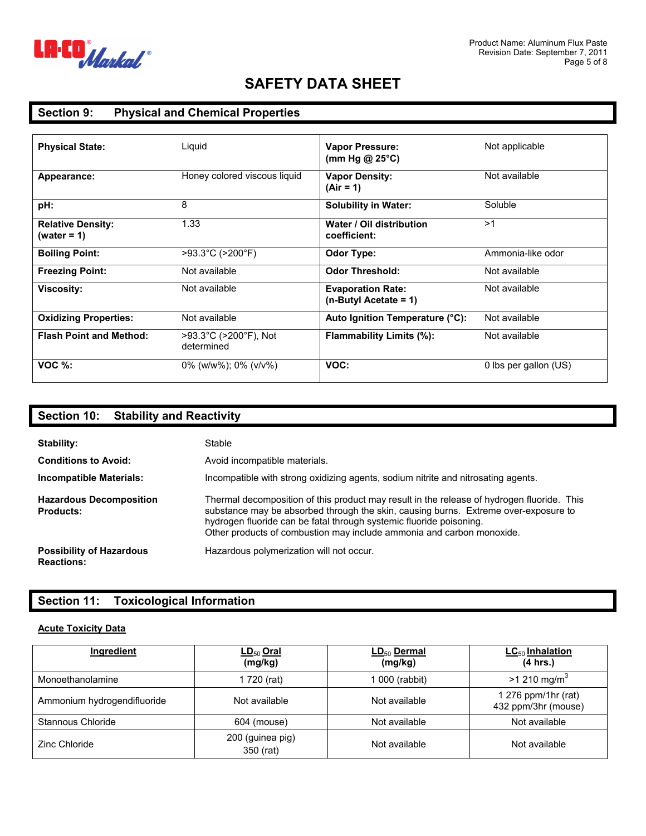

## **Section 9: Physical and Chemical Properties**

| <b>Physical State:</b>                     | Liquid                              | <b>Vapor Pressure:</b><br>(mm Hg @ 25 $\degree$ C) | Not applicable        |
|--------------------------------------------|-------------------------------------|----------------------------------------------------|-----------------------|
| Appearance:                                | Honey colored viscous liquid        | <b>Vapor Density:</b><br>$(Air = 1)$               | Not available         |
| pH:                                        | 8                                   | <b>Solubility in Water:</b>                        | Soluble               |
| <b>Relative Density:</b><br>(water = $1$ ) | 1.33                                | Water / Oil distribution<br>coefficient:           | >1                    |
| <b>Boiling Point:</b>                      | >93.3°C (>200°F)                    | Odor Type:                                         | Ammonia-like odor     |
| <b>Freezing Point:</b>                     | Not available                       | <b>Odor Threshold:</b>                             | Not available         |
| <b>Viscosity:</b>                          | Not available                       | <b>Evaporation Rate:</b><br>$(n-ButyI Accate = 1)$ | Not available         |
| <b>Oxidizing Properties:</b>               | Not available                       | Auto Ignition Temperature (°C):                    | Not available         |
| <b>Flash Point and Method:</b>             | >93.3°C (>200°F), Not<br>determined | Flammability Limits (%):                           | Not available         |
| $VOC$ %:                                   | $0\%$ (w/w%); $0\%$ (v/v%)          | VOC:                                               | 0 lbs per gallon (US) |

| <b>Section 10:</b><br><b>Stability and Reactivity</b>                       |                                                                                                                                                                                                                                                                                                                                   |
|-----------------------------------------------------------------------------|-----------------------------------------------------------------------------------------------------------------------------------------------------------------------------------------------------------------------------------------------------------------------------------------------------------------------------------|
| Stability:<br><b>Conditions to Avoid:</b><br><b>Incompatible Materials:</b> | Stable<br>Avoid incompatible materials.<br>Incompatible with strong oxidizing agents, sodium nitrite and nitrosating agents.                                                                                                                                                                                                      |
| <b>Hazardous Decomposition</b><br><b>Products:</b>                          | Thermal decomposition of this product may result in the release of hydrogen fluoride. This<br>substance may be absorbed through the skin, causing burns. Extreme over-exposure to<br>hydrogen fluoride can be fatal through systemic fluoride poisoning.<br>Other products of combustion may include ammonia and carbon monoxide. |
| <b>Possibility of Hazardous</b><br><b>Reactions:</b>                        | Hazardous polymerization will not occur.                                                                                                                                                                                                                                                                                          |

## **Section 11: Toxicological Information**

#### **Acute Toxicity Data**

| Ingredient                  | $LD_{50}$ Oral<br>(mg/kg)     | $LD_{50}$ Dermal<br>(mg/kg) | $LC_{50}$ Inhalation<br>(4 hrs.)           |
|-----------------------------|-------------------------------|-----------------------------|--------------------------------------------|
| Monoethanolamine            | 1 720 (rat)                   | l 000 (rabbit)              | $>1210$ mg/m <sup>3</sup>                  |
| Ammonium hydrogendifluoride | Not available                 | Not available               | 1 276 ppm/1hr (rat)<br>432 ppm/3hr (mouse) |
| Stannous Chloride           | 604 (mouse)                   | Not available               | Not available                              |
| Zinc Chloride               | 200 (guinea pig)<br>350 (rat) | Not available               | Not available                              |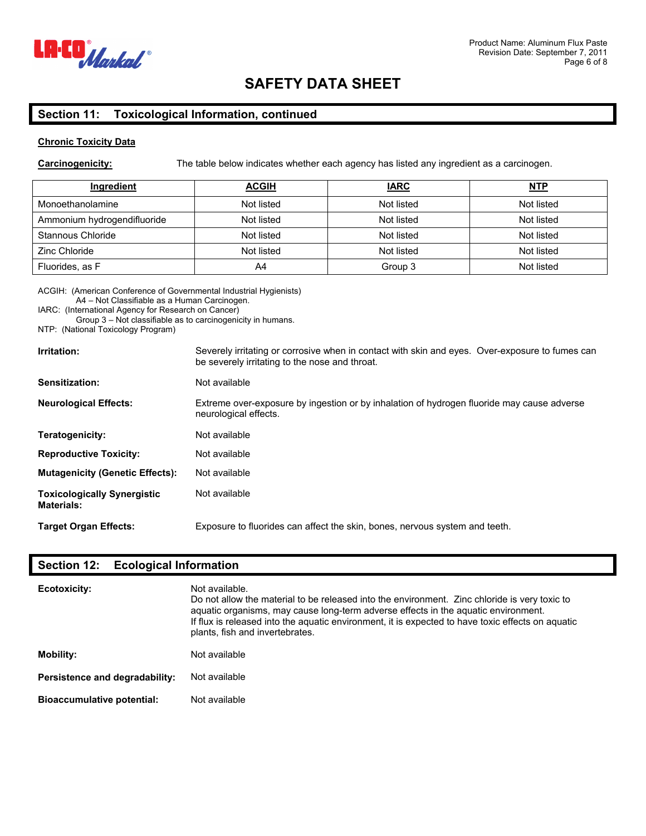

#### **Section 11: Toxicological Information, continued**

#### **Chronic Toxicity Data**

**Carcinogenicity:** The table below indicates whether each agency has listed any ingredient as a carcinogen.

| Ingredient                  | <b>ACGIH</b> | <b>IARC</b> | <u>NTP</u> |
|-----------------------------|--------------|-------------|------------|
| Monoethanolamine            | Not listed   | Not listed  | Not listed |
| Ammonium hydrogendifluoride | Not listed   | Not listed  | Not listed |
| Stannous Chloride           | Not listed   | Not listed  | Not listed |
| Zinc Chloride               | Not listed   | Not listed  | Not listed |
| Fluorides, as F             | A4           | Group 3     | Not listed |

ACGIH: (American Conference of Governmental Industrial Hygienists)

A4 – Not Classifiable as a Human Carcinogen.

IARC: (International Agency for Research on Cancer)

Group 3 – Not classifiable as to carcinogenicity in humans.

NTP: (National Toxicology Program)

| Irritation:                                             | Severely irritating or corrosive when in contact with skin and eyes. Over-exposure to fumes can<br>be severely irritating to the nose and throat. |  |  |
|---------------------------------------------------------|---------------------------------------------------------------------------------------------------------------------------------------------------|--|--|
| Sensitization:                                          | Not available                                                                                                                                     |  |  |
| <b>Neurological Effects:</b>                            | Extreme over-exposure by ingestion or by inhalation of hydrogen fluoride may cause adverse<br>neurological effects.                               |  |  |
| Teratogenicity:                                         | Not available                                                                                                                                     |  |  |
| <b>Reproductive Toxicity:</b>                           | Not available                                                                                                                                     |  |  |
| <b>Mutagenicity (Genetic Effects):</b>                  | Not available                                                                                                                                     |  |  |
| <b>Toxicologically Synergistic</b><br><b>Materials:</b> | Not available                                                                                                                                     |  |  |
| <b>Target Organ Effects:</b>                            | Exposure to fluorides can affect the skin, bones, nervous system and teeth.                                                                       |  |  |

## **Section 12: Ecological Information**

| Ecotoxicity:                      | Not available.<br>Do not allow the material to be released into the environment. Zinc chloride is very toxic to<br>aquatic organisms, may cause long-term adverse effects in the aquatic environment.<br>If flux is released into the aguatic environment, it is expected to have toxic effects on aguatic<br>plants, fish and invertebrates. |  |
|-----------------------------------|-----------------------------------------------------------------------------------------------------------------------------------------------------------------------------------------------------------------------------------------------------------------------------------------------------------------------------------------------|--|
| Mobility:                         | Not available                                                                                                                                                                                                                                                                                                                                 |  |
| Persistence and degradability:    | Not available                                                                                                                                                                                                                                                                                                                                 |  |
| <b>Bioaccumulative potential:</b> | Not available                                                                                                                                                                                                                                                                                                                                 |  |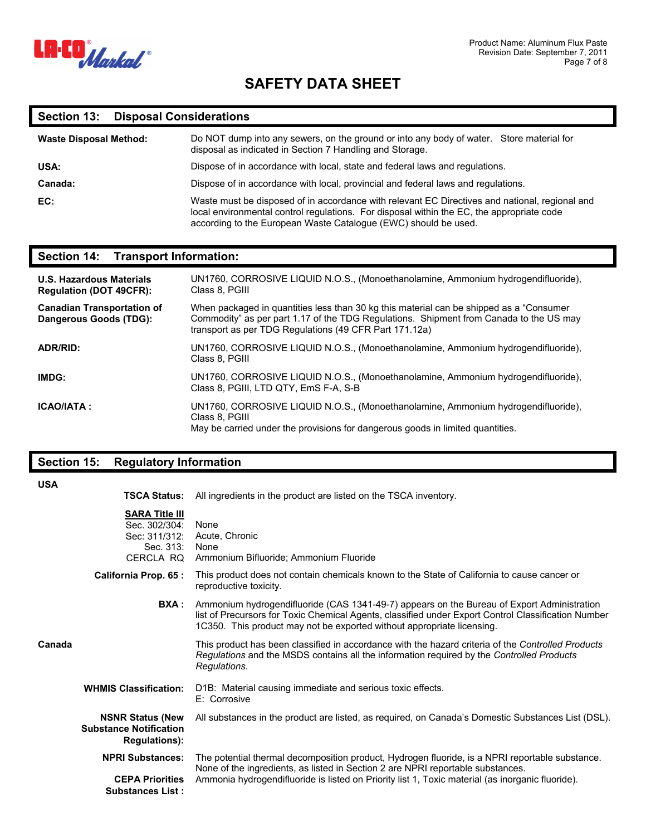

## **Section 13: Disposal Considerations**

| <b>Waste Disposal Method:</b> | Do NOT dump into any sewers, on the ground or into any body of water. Store material for<br>disposal as indicated in Section 7 Handling and Storage.                                                                                                           |  |
|-------------------------------|----------------------------------------------------------------------------------------------------------------------------------------------------------------------------------------------------------------------------------------------------------------|--|
| USA:                          | Dispose of in accordance with local, state and federal laws and regulations.                                                                                                                                                                                   |  |
| Canada:                       | Dispose of in accordance with local, provincial and federal laws and regulations.                                                                                                                                                                              |  |
| EC:                           | Waste must be disposed of in accordance with relevant EC Directives and national, regional and<br>local environmental control regulations. For disposal within the EC, the appropriate code<br>according to the European Waste Catalogue (EWC) should be used. |  |

#### **Section 14: Transport Information:**

| <b>U.S. Hazardous Materials</b><br><b>Regulation (DOT 49CFR):</b> | UN1760, CORROSIVE LIQUID N.O.S., (Monoethanolamine, Ammonium hydrogendifluoride),<br>Class 8, PGIII                                                                                                                                          |
|-------------------------------------------------------------------|----------------------------------------------------------------------------------------------------------------------------------------------------------------------------------------------------------------------------------------------|
| <b>Canadian Transportation of</b><br>Dangerous Goods (TDG):       | When packaged in quantities less than 30 kg this material can be shipped as a "Consumer"<br>Commodity" as per part 1.17 of the TDG Regulations. Shipment from Canada to the US may<br>transport as per TDG Regulations (49 CFR Part 171.12a) |
| <b>ADR/RID:</b>                                                   | UN1760, CORROSIVE LIQUID N.O.S., (Monoethanolamine, Ammonium hydrogendifluoride),<br>Class 8, PGIII                                                                                                                                          |
| IMDG:                                                             | UN1760, CORROSIVE LIQUID N.O.S., (Monoethanolamine, Ammonium hydrogendifluoride),<br>Class 8, PGIII, LTD QTY, EmS F-A, S-B                                                                                                                   |
| <b>ICAO/IATA:</b>                                                 | UN1760, CORROSIVE LIQUID N.O.S., (Monoethanolamine, Ammonium hydrogendifluoride),<br>Class 8, PGIII<br>May be carried under the provisions for dangerous goods in limited quantities.                                                        |

## **Section 15: Regulatory Information**

| <b>USA</b> | <b>TSCA Status:</b>                                                             | All ingredients in the product are listed on the TSCA inventory.                                                                                                                                                                                                                       |
|------------|---------------------------------------------------------------------------------|----------------------------------------------------------------------------------------------------------------------------------------------------------------------------------------------------------------------------------------------------------------------------------------|
|            | <b>SARA Title III</b><br>Sec. 302/304:<br>Sec: 311/312:<br>Sec. 313: None       | None<br>Acute, Chronic<br>CERCLA RQ Ammonium Bifluoride; Ammonium Fluoride                                                                                                                                                                                                             |
|            | California Prop. 65 :                                                           | This product does not contain chemicals known to the State of California to cause cancer or<br>reproductive toxicity.                                                                                                                                                                  |
|            | BXA :                                                                           | Ammonium hydrogendifluoride (CAS 1341-49-7) appears on the Bureau of Export Administration<br>list of Precursors for Toxic Chemical Agents, classified under Export Control Classification Number<br>1C350. This product may not be exported without appropriate licensing.            |
| Canada     |                                                                                 | This product has been classified in accordance with the hazard criteria of the Controlled Products<br>Regulations and the MSDS contains all the information required by the Controlled Products<br>Regulations.                                                                        |
|            | <b>WHMIS Classification:</b>                                                    | D1B: Material causing immediate and serious toxic effects.<br>E: Corrosive                                                                                                                                                                                                             |
|            | <b>NSNR Status (New</b><br><b>Substance Notification</b><br><b>Regulations:</b> | All substances in the product are listed, as required, on Canada's Domestic Substances List (DSL).                                                                                                                                                                                     |
|            | <b>NPRI Substances:</b><br><b>CEPA Priorities</b><br><b>Substances List:</b>    | The potential thermal decomposition product, Hydrogen fluoride, is a NPRI reportable substance.<br>None of the ingredients, as listed in Section 2 are NPRI reportable substances.<br>Ammonia hydrogendifluoride is listed on Priority list 1, Toxic material (as inorganic fluoride). |